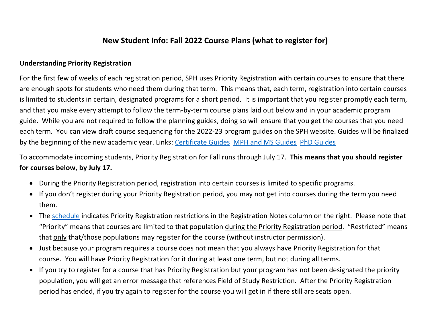## **New Student Info: Fall 2022 Course Plans (what to register for)**

## **Understanding Priority Registration**

For the first few of weeks of each registration period, SPH uses Priority Registration with certain courses to ensure that there are enough spots for students who need them during that term. This means that, each term, registration into certain courses is limited to students in certain, designated programs for a short period. It is important that you register promptly each term, and that you make every attempt to follow the term-by-term course plans laid out below and in your academic program guide. While you are not required to follow the planning guides, doing so will ensure that you get the courses that you need each term. You can view draft course sequencing for the 2022-23 program guides on the SPH website. Guides will be finalized by the beginning of the new academic year. Links: [Certificate Guides](https://ohsu-psu-sph.org/current-graduate-students/graduate-certificate-requirements/) [MPH and MS Guides](https://ohsu-psu-sph.org/mph-ms-requirements/) [PhD Guides](https://ohsu-psu-sph.org/phd-requirements/)

To accommodate incoming students, Priority Registration for Fall runs through July 17. **This means that you should register for courses below, by July 17.**

- During the Priority Registration period, registration into certain courses is limited to specific programs.
- If you don't register during your Priority Registration period, you may not get into courses during the term you need them.
- The [schedule](https://ohsu-psu-sph.org/course-directory/) indicates Priority Registration restrictions in the Registration Notes column on the right. Please note that "Priority" means that courses are limited to that population during the Priority Registration period. "Restricted" means that only that/those populations may register for the course (without instructor permission).
- Just because your program requires a course does not mean that you always have Priority Registration for that course. You will have Priority Registration for it during at least one term, but not during all terms.
- If you try to register for a course that has Priority Registration but your program has not been designated the priority population, you will get an error message that references Field of Study Restriction. After the Priority Registration period has ended, if you try again to register for the course you will get in if there still are seats open.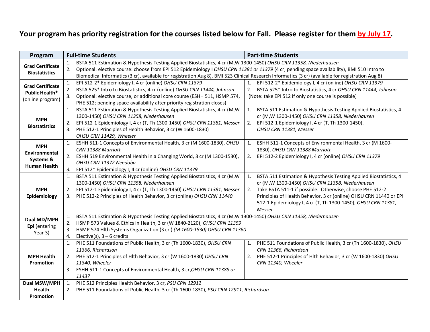## **Your program has priority registration for the courses listed below for Fall. Please register for them by July 17.**

| Program                                                              | <b>Full-time Students</b>                                                                                                                                                                                                                                                                                                                                                                                                                                                                        | <b>Part-time Students</b>                                                                                                                                                                                                                                                                                                                     |  |  |  |  |
|----------------------------------------------------------------------|--------------------------------------------------------------------------------------------------------------------------------------------------------------------------------------------------------------------------------------------------------------------------------------------------------------------------------------------------------------------------------------------------------------------------------------------------------------------------------------------------|-----------------------------------------------------------------------------------------------------------------------------------------------------------------------------------------------------------------------------------------------------------------------------------------------------------------------------------------------|--|--|--|--|
| <b>Grad Certificate</b><br><b>Biostatistics</b>                      | BSTA 511 Estimation & Hypothesis Testing Applied Biostatistics, 4 cr (M, W 1300-1450) OHSU CRN 11358, Niederhausen<br>1.<br>Optional: elective course: choose from EPI 512 Epidemiology I OHSU CRN 11381 or 11379 (4 cr; pending space availability), BMI 510 Intro to<br>Biomedical Informatics (3 cr), available for registration Aug 8), BMI 523 Clinical Research Informatics (3 cr) (available for registration Aug 8)                                                                      |                                                                                                                                                                                                                                                                                                                                               |  |  |  |  |
| <b>Grad Certificate</b><br><b>Public Health*</b><br>(online program) | EPI 512-2* Epidemiology I, 4 cr (online) OHSU CRN 11379<br>1. EPI 512-2* Epidemiology I, 4 cr (online) OHSU CRN 11379<br>1.<br>BSTA 525* Intro to Biostatistics, 4 cr (online) OHSU CRN 11444, Johnson<br>2. BSTA 525* Intro to Biostatistics, 4 cr OHSU CRN 11444, Johnson<br>2.<br>(Note: take EPI 512 if only one course is possible)<br>Optional: elective course, or additional core course (ESHH 511, HSMP 574,<br>PHE 512; pending space availability after priority registration closes) |                                                                                                                                                                                                                                                                                                                                               |  |  |  |  |
| <b>MPH</b><br><b>Biostatistics</b>                                   | BSTA 511 Estimation & Hypothesis Testing Applied Biostatistics, 4 cr (M, W)<br>1.<br>1300-1450) OHSU CRN 11358, Niederhausen<br>EPI 512-1 Epidemiology I, 4 cr (T, Th 1300-1450) OHSU CRN 11381, Messer<br>2.<br>PHE 512-1 Principles of Health Behavior, 3 cr (W 1600-1830)<br>OHSU CRN 11429, Wheeler                                                                                                                                                                                          | BSTA 511 Estimation & Hypothesis Testing Applied Biostatistics, 4<br>1.<br>cr (M, W 1300-1450) OHSU CRN 11358, Niederhausen<br>EPI 512-1 Epidemiology I, 4 cr (T, Th 1300-1450),<br>2.<br>OHSU CRN 11381, Messer                                                                                                                              |  |  |  |  |
| <b>MPH</b><br>Environmental<br>Systems &<br><b>Human Health</b>      | ESHH 511-1 Concepts of Environmental Health, 3 cr (M 1600-1830), OHSU<br>1.<br>CRN 11388 Marriott<br>ESHH 519 Environmental Health in a Changing World, 3 cr (M 1300-1530),<br>OHSU CRN 11372 Needoba<br>EPI 512* Epidemiology I, 4 cr (online) OHSU CRN 11379                                                                                                                                                                                                                                   | ESHH 511-1 Concepts of Environmental Health, 3 cr (M 1600-<br>1.<br>1830), OHSU CRN 11388 Marriott<br>2. EPI 512-2 Epidemiology I, 4 cr (online) OHSU CRN 11379                                                                                                                                                                               |  |  |  |  |
| <b>MPH</b><br>Epidemiology                                           | BSTA 511 Estimation & Hypothesis Testing Applied Biostatistics, 4 cr (M, W<br>1.<br>1300-1450) OHSU CRN 11358, Niederhausen<br>EPI 512-1 Epidemiology I, 4 cr (T, Th 1300-1450) OHSU CRN 11381, Messer<br>PHE 512-2 Principles of Health Behavior, 3 cr (online) OHSU CRN 11440<br>3.                                                                                                                                                                                                            | BSTA 511 Estimation & Hypothesis Testing Applied Biostatistics, 4<br>1.<br>cr (M,W 1300-1450) OHSU CRN 11358, Niederhausen<br>Take BSTA 511-1 if possible. Otherwise, choose PHE 512-2<br>2.<br>Principles of Health Behavior, 3 cr (online) OHSU CRN 11440 or EPI<br>512-1 Epidemiology I, 4 cr (T, Th 1300-1450), OHSU CRN 11381,<br>Messer |  |  |  |  |
| Dual MD/MPH<br>Epi (entering<br>Year 3)                              | BSTA 511 Estimation & Hypothesis Testing Applied Biostatistics, 4 cr (M, W 1300-1450) OHSU CRN 11358, Niederhausen<br>1.<br>HSMP 573 Values & Ethics in Health, 3 cr (W 1840-2120), OHSU CRN 11359<br>2.<br>HSMP 574 Hlth Systems Organization (3 cr.) (M 1600-1830) OHSU CRN 11360<br>3.<br>Elective(s), $3 - 6$ credits<br>4.                                                                                                                                                                  |                                                                                                                                                                                                                                                                                                                                               |  |  |  |  |
| <b>MPH Health</b><br>Promotion<br>Dual MSW/MPH                       | PHE 511 Foundations of Public Health, 3 cr (Th 1600-1830), OHSU CRN<br>1.<br>11366, Richardson<br>2. PHE 512-1 Principles of Hlth Behavior, 3 cr (W 1600-1830) OHSU CRN<br>11340, Wheeler<br>3. ESHH 511-1 Concepts of Environmental Health, 3 cr, OHSU CRN 11388 or<br>11437<br>PHE 512 Principles Health Behavior, 3 cr, PSU CRN 12912<br>1.                                                                                                                                                   | PHE 511 Foundations of Public Health, 3 cr (Th 1600-1830), OHSU<br>1.<br>CRN 11366, Richardson<br>PHE 512-1 Principles of Hlth Behavior, 3 cr (W 1600-1830) OHSU<br>2.<br>CRN 11340, Wheeler                                                                                                                                                  |  |  |  |  |
| <b>Health</b><br><b>Promotion</b>                                    | PHE 511 Foundations of Public Health, 3 cr (Th 1600-1830), PSU CRN 12911, Richardson                                                                                                                                                                                                                                                                                                                                                                                                             |                                                                                                                                                                                                                                                                                                                                               |  |  |  |  |